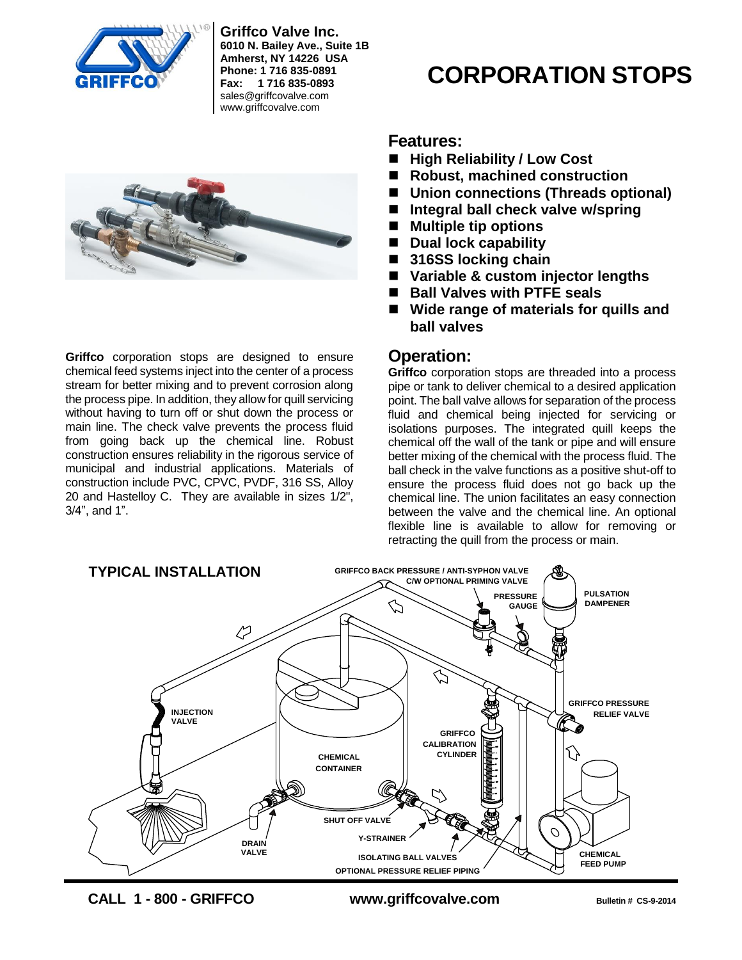

**Griffco Valve Inc. 6010 N. Bailey Ave., Suite 1B Amherst, NY 14226 USA Phone: 1 716 835-0891 Fax: 1 716 835-0893** sales@griffcovalve.com www.griffcovalve.com



**Griffco** corporation stops are designed to ensure chemical feed systems inject into the center of a process stream for better mixing and to prevent corrosion along the process pipe. In addition, they allow for quill servicing without having to turn off or shut down the process or main line. The check valve prevents the process fluid from going back up the chemical line. Robust construction ensures reliability in the rigorous service of municipal and industrial applications. Materials of construction include PVC, CPVC, PVDF, 316 SS, Alloy 20 and Hastelloy C. They are available in sizes 1/2", 3/4", and 1".

# **CORPORATION STOPS**

## **Features:**

- High Reliability / Low Cost
- Robust, machined construction
- **Union connections (Threads optional)**
- Integral ball check valve w/spring
- Multiple tip options
- Dual lock capability
- 316SS locking chain
- **Variable & custom injector lengths**
- **Ball Valves with PTFE seals**
- Wide range of materials for quills and **ball valves**

# **Operation:**

**Griffco** corporation stops are threaded into a process pipe or tank to deliver chemical to a desired application point. The ball valve allows for separation of the process fluid and chemical being injected for servicing or isolations purposes. The integrated quill keeps the chemical off the wall of the tank or pipe and will ensure better mixing of the chemical with the process fluid. The ball check in the valve functions as a positive shut-off to ensure the process fluid does not go back up the chemical line. The union facilitates an easy connection between the valve and the chemical line. An optional flexible line is available to allow for removing or retracting the quill from the process or main.